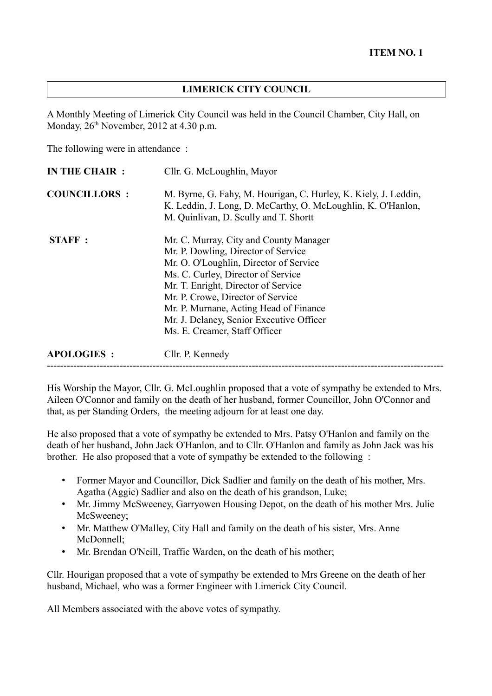## **LIMERICK CITY COUNCIL**

A Monthly Meeting of Limerick City Council was held in the Council Chamber, City Hall, on Monday,  $26<sup>th</sup>$  November,  $2012$  at 4.30 p.m.

The following were in attendance :

| Cllr. G. McLoughlin, Mayor                                                                                                                                                                                                                                                                                                                                       |
|------------------------------------------------------------------------------------------------------------------------------------------------------------------------------------------------------------------------------------------------------------------------------------------------------------------------------------------------------------------|
| M. Byrne, G. Fahy, M. Hourigan, C. Hurley, K. Kiely, J. Leddin,<br>K. Leddin, J. Long, D. McCarthy, O. McLoughlin, K. O'Hanlon,<br>M. Quinlivan, D. Scully and T. Shortt                                                                                                                                                                                         |
| Mr. C. Murray, City and County Manager<br>Mr. P. Dowling, Director of Service<br>Mr. O. O'Loughlin, Director of Service<br>Ms. C. Curley, Director of Service<br>Mr. T. Enright, Director of Service<br>Mr. P. Crowe, Director of Service<br>Mr. P. Murnane, Acting Head of Finance<br>Mr. J. Delaney, Senior Executive Officer<br>Ms. E. Creamer, Staff Officer |
| Cllr. P. Kennedy                                                                                                                                                                                                                                                                                                                                                 |
|                                                                                                                                                                                                                                                                                                                                                                  |

His Worship the Mayor, Cllr. G. McLoughlin proposed that a vote of sympathy be extended to Mrs. Aileen O'Connor and family on the death of her husband, former Councillor, John O'Connor and that, as per Standing Orders, the meeting adjourn for at least one day.

He also proposed that a vote of sympathy be extended to Mrs. Patsy O'Hanlon and family on the death of her husband, John Jack O'Hanlon, and to Cllr. O'Hanlon and family as John Jack was his brother. He also proposed that a vote of sympathy be extended to the following :

- Former Mayor and Councillor, Dick Sadlier and family on the death of his mother, Mrs. Agatha (Aggie) Sadlier and also on the death of his grandson, Luke;
- Mr. Jimmy McSweeney, Garryowen Housing Depot, on the death of his mother Mrs. Julie McSweeney:
- Mr. Matthew O'Malley, City Hall and family on the death of his sister, Mrs. Anne McDonnell;
- Mr. Brendan O'Neill, Traffic Warden, on the death of his mother;

Cllr. Hourigan proposed that a vote of sympathy be extended to Mrs Greene on the death of her husband, Michael, who was a former Engineer with Limerick City Council.

All Members associated with the above votes of sympathy.